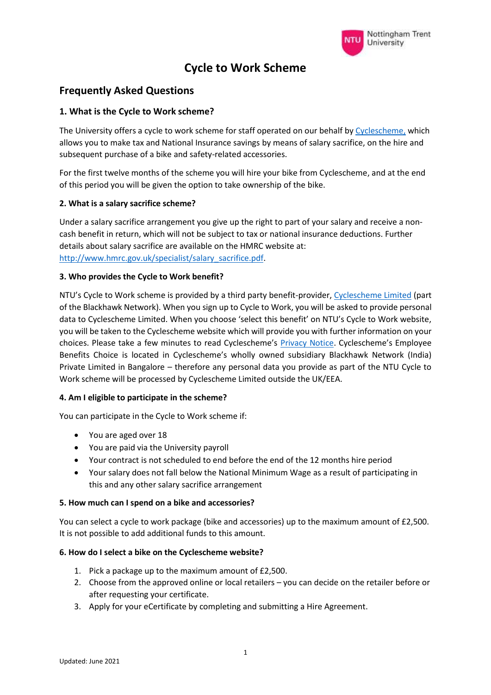

# **Cycle to Work Scheme**

## **Frequently Asked Questions**

## **1. What is the Cycle to Work scheme?**

The University offers a cycle to work scheme for staff operated on our behalf by [Cyclescheme,](https://www.cyclescheme.co.uk/) which allows you to make tax and National Insurance savings by means of salary sacrifice, on the hire and subsequent purchase of a bike and safety-related accessories.

For the first twelve months of the scheme you will hire your bike from Cyclescheme, and at the end of this period you will be given the option to take ownership of the bike.

#### **2. What is a salary sacrifice scheme?**

Under a salary sacrifice arrangement you give up the right to part of your salary and receive a noncash benefit in return, which will not be subject to tax or national insurance deductions. Further details about salary sacrifice are available on the HMRC website at: [http://www.hmrc.gov.uk/specialist/salary\\_sacrifice.pdf.](http://www.hmrc.gov.uk/specialist/salary_sacrifice.pdf)

#### **3. Who provides the Cycle to Work benefit?**

NTU's Cycle to Work scheme is provided by a third party benefit-provider, [Cyclescheme Limited](https://www.cyclescheme.co.uk/) (part of the Blackhawk Network). When you sign up to Cycle to Work, you will be asked to provide personal data to Cyclescheme Limited. When you choose 'select this benefit' on NTU's Cycle to Work website, you will be taken to the Cyclescheme website which will provide you with further information on your choices. Please take a few minutes to read Cyclescheme's [Privacy Notice](https://blackhawknetwork.com/uk-en/privacy-policy). Cyclescheme's Employee Benefits Choice is located in Cyclescheme's wholly owned subsidiary Blackhawk Network (India) Private Limited in Bangalore – therefore any personal data you provide as part of the NTU Cycle to Work scheme will be processed by Cyclescheme Limited outside the UK/EEA.

## **4. Am I eligible to participate in the scheme?**

You can participate in the Cycle to Work scheme if:

- You are aged over 18
- You are paid via the University payroll
- Your contract is not scheduled to end before the end of the 12 months hire period
- Your salary does not fall below the National Minimum Wage as a result of participating in this and any other salary sacrifice arrangement

#### **5. How much can I spend on a bike and accessories?**

You can select a cycle to work package (bike and accessories) up to the maximum amount of £2,500. It is not possible to add additional funds to this amount.

#### **6. How do I select a bike on the Cyclescheme website?**

- 1. Pick a package up to the maximum amount of £2,500.
- 2. Choose from the approved online or local retailers you can decide on the retailer before or after requesting your certificate.
- 3. Apply for your eCertificate by completing and submitting a Hire Agreement.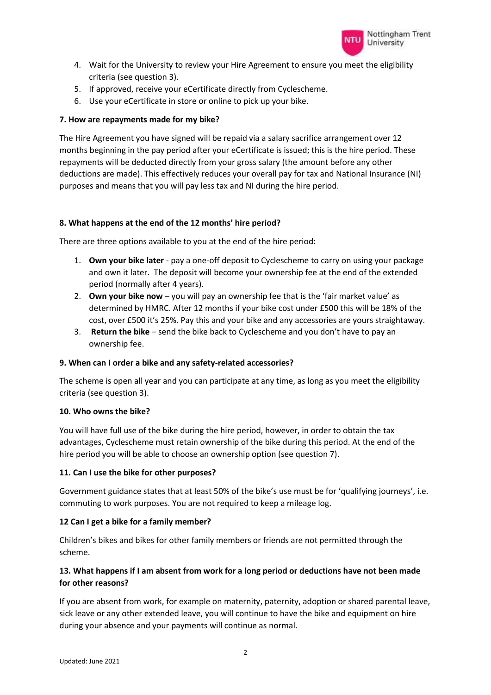

- 4. Wait for the University to review your Hire Agreement to ensure you meet the eligibility criteria (see question 3).
- 5. If approved, receive your eCertificate directly from Cyclescheme.
- 6. Use your eCertificate in store or online to pick up your bike.

#### **7. How are repayments made for my bike?**

The Hire Agreement you have signed will be repaid via a salary sacrifice arrangement over 12 months beginning in the pay period after your eCertificate is issued; this is the hire period. These repayments will be deducted directly from your gross salary (the amount before any other deductions are made). This effectively reduces your overall pay for tax and National Insurance (NI) purposes and means that you will pay less tax and NI during the hire period.

#### **8. What happens at the end of the 12 months' hire period?**

There are three options available to you at the end of the hire period:

- 1. **Own your bike later** pay a one-off deposit to Cyclescheme to carry on using your package and own it later. The deposit will become your ownership fee at the end of the extended period (normally after 4 years).
- 2. **Own your bike now** you will pay an ownership fee that is the 'fair market value' as determined by HMRC. After 12 months if your bike cost under £500 this will be 18% of the cost, over £500 it's 25%. Pay this and your bike and any accessories are yours straightaway.
- 3. **Return the bike** send the bike back to Cyclescheme and you don't have to pay an ownership fee.

#### **9. When can I order a bike and any safety-related accessories?**

The scheme is open all year and you can participate at any time, as long as you meet the eligibility criteria (see question 3).

#### **10. Who owns the bike?**

You will have full use of the bike during the hire period, however, in order to obtain the tax advantages, Cyclescheme must retain ownership of the bike during this period. At the end of the hire period you will be able to choose an ownership option (see question 7).

## **11. Can I use the bike for other purposes?**

Government guidance states that at least 50% of the bike's use must be for 'qualifying journeys', i.e. commuting to work purposes. You are not required to keep a mileage log.

## **12 Can I get a bike for a family member?**

Children's bikes and bikes for other family members or friends are not permitted through the scheme.

## **13. What happens if I am absent from work for a long period or deductions have not been made for other reasons?**

If you are absent from work, for example on maternity, paternity, adoption or shared parental leave, sick leave or any other extended leave, you will continue to have the bike and equipment on hire during your absence and your payments will continue as normal.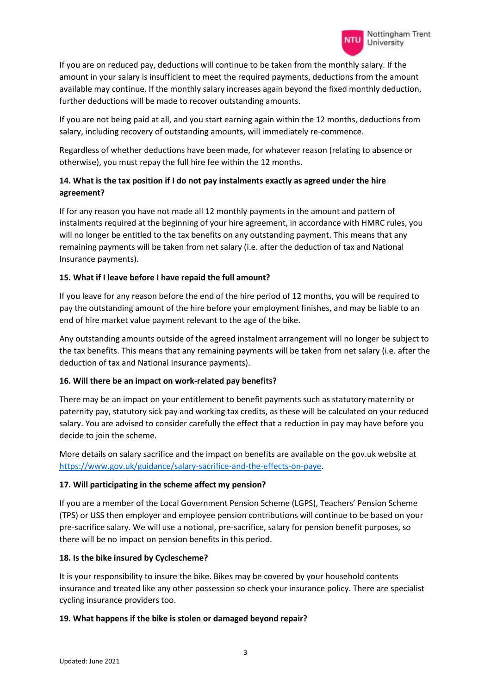If you are on reduced pay, deductions will continue to be taken from the monthly salary. If the amount in your salary is insufficient to meet the required payments, deductions from the amount available may continue. If the monthly salary increases again beyond the fixed monthly deduction, further deductions will be made to recover outstanding amounts.

If you are not being paid at all, and you start earning again within the 12 months, deductions from salary, including recovery of outstanding amounts, will immediately re-commence.

Regardless of whether deductions have been made, for whatever reason (relating to absence or otherwise), you must repay the full hire fee within the 12 months.

## **14. What is the tax position if I do not pay instalments exactly as agreed under the hire agreement?**

If for any reason you have not made all 12 monthly payments in the amount and pattern of instalments required at the beginning of your hire agreement, in accordance with HMRC rules, you will no longer be entitled to the tax benefits on any outstanding payment. This means that any remaining payments will be taken from net salary (i.e. after the deduction of tax and National Insurance payments).

## **15. What if I leave before I have repaid the full amount?**

If you leave for any reason before the end of the hire period of 12 months, you will be required to pay the outstanding amount of the hire before your employment finishes, and may be liable to an end of hire market value payment relevant to the age of the bike.

Any outstanding amounts outside of the agreed instalment arrangement will no longer be subject to the tax benefits. This means that any remaining payments will be taken from net salary (i.e. after the deduction of tax and National Insurance payments).

## **16. Will there be an impact on work-related pay benefits?**

There may be an impact on your entitlement to benefit payments such as statutory maternity or paternity pay, statutory sick pay and working tax credits, as these will be calculated on your reduced salary. You are advised to consider carefully the effect that a reduction in pay may have before you decide to join the scheme.

More details on salary sacrifice and the impact on benefits are available on the gov.uk website at [https://www.gov.uk/guidance/salary-sacrifice-and-the-effects-on-paye.](https://www.gov.uk/guidance/salary-sacrifice-and-the-effects-on-paye)

## **17. Will participating in the scheme affect my pension?**

If you are a member of the Local Government Pension Scheme (LGPS), Teachers' Pension Scheme (TPS) or USS then employer and employee pension contributions will continue to be based on your pre-sacrifice salary. We will use a notional, pre-sacrifice, salary for pension benefit purposes, so there will be no impact on pension benefits in this period.

## **18. Is the bike insured by Cyclescheme?**

It is your responsibility to insure the bike. Bikes may be covered by your household contents insurance and treated like any other possession so check your insurance policy. There are specialist cycling insurance providers too.

## **19. What happens if the bike is stolen or damaged beyond repair?**